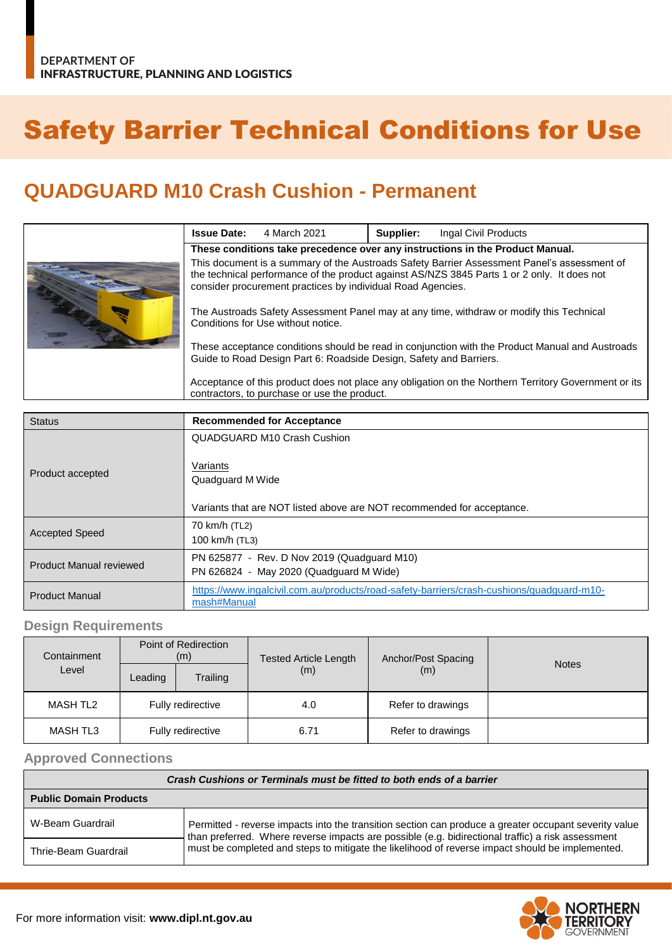# Safety Barrier Technical Conditions for Use

## **QUADGUARD M10 Crash Cushion - Permanent**

|  | <b>Issue Date:</b>                                                                                                                                                                                                                                        | 4 March 2021 | Supplier: | Ingal Civil Products |  |
|--|-----------------------------------------------------------------------------------------------------------------------------------------------------------------------------------------------------------------------------------------------------------|--------------|-----------|----------------------|--|
|  | These conditions take precedence over any instructions in the Product Manual.                                                                                                                                                                             |              |           |                      |  |
|  | This document is a summary of the Austroads Safety Barrier Assessment Panel's assessment of<br>the technical performance of the product against AS/NZS 3845 Parts 1 or 2 only. It does not<br>consider procurement practices by individual Road Agencies. |              |           |                      |  |
|  | The Austroads Safety Assessment Panel may at any time, withdraw or modify this Technical<br>Conditions for Use without notice.                                                                                                                            |              |           |                      |  |
|  | These acceptance conditions should be read in conjunction with the Product Manual and Austroads<br>Guide to Road Design Part 6: Roadside Design, Safety and Barriers.                                                                                     |              |           |                      |  |
|  | Acceptance of this product does not place any obligation on the Northern Territory Government or its<br>contractors, to purchase or use the product.                                                                                                      |              |           |                      |  |

| <b>Status</b>                                                                                                            | <b>Recommended for Acceptance</b>                                                                        |  |  |
|--------------------------------------------------------------------------------------------------------------------------|----------------------------------------------------------------------------------------------------------|--|--|
|                                                                                                                          | <b>QUADGUARD M10 Crash Cushion</b>                                                                       |  |  |
| Product accepted                                                                                                         | Variants<br>Quadquard M Wide<br>Variants that are NOT listed above are NOT recommended for acceptance.   |  |  |
|                                                                                                                          |                                                                                                          |  |  |
| <b>Accepted Speed</b>                                                                                                    | 70 km/h (TL2)<br>100 km/h (TL3)                                                                          |  |  |
| PN 625877 - Rev. D Nov 2019 (Quadguard M10)<br><b>Product Manual reviewed</b><br>PN 626824 - May 2020 (Quadguard M Wide) |                                                                                                          |  |  |
| <b>Product Manual</b>                                                                                                    | https://www.ingalcivil.com.au/products/road-safety-barriers/crash-cushions/quadquard-m10-<br>mash#Manual |  |  |

#### **Design Requirements**

| Containment |                     | Point of Redirection<br>(m) | <b>Tested Article Length</b> | Anchor/Post Spacing |              |
|-------------|---------------------|-----------------------------|------------------------------|---------------------|--------------|
| Level       | Trailing<br>Leading |                             | (m)                          | (m)                 | <b>Notes</b> |
| MASH TL2    | Fully redirective   |                             | 4.0                          | Refer to drawings   |              |
| MASH TL3    | Fully redirective   |                             | 6.71                         | Refer to drawings   |              |

#### **Approved Connections**

| Crash Cushions or Terminals must be fitted to both ends of a barrier |                                                                                                                                                                                                            |  |  |
|----------------------------------------------------------------------|------------------------------------------------------------------------------------------------------------------------------------------------------------------------------------------------------------|--|--|
| <b>Public Domain Products</b>                                        |                                                                                                                                                                                                            |  |  |
| W-Beam Guardrail                                                     | Permitted - reverse impacts into the transition section can produce a greater occupant severity value<br>than preferred. Where reverse impacts are possible (e.g. bidirectional traffic) a risk assessment |  |  |
| Thrie-Beam Guardrail                                                 | must be completed and steps to mitigate the likelihood of reverse impact should be implemented.                                                                                                            |  |  |